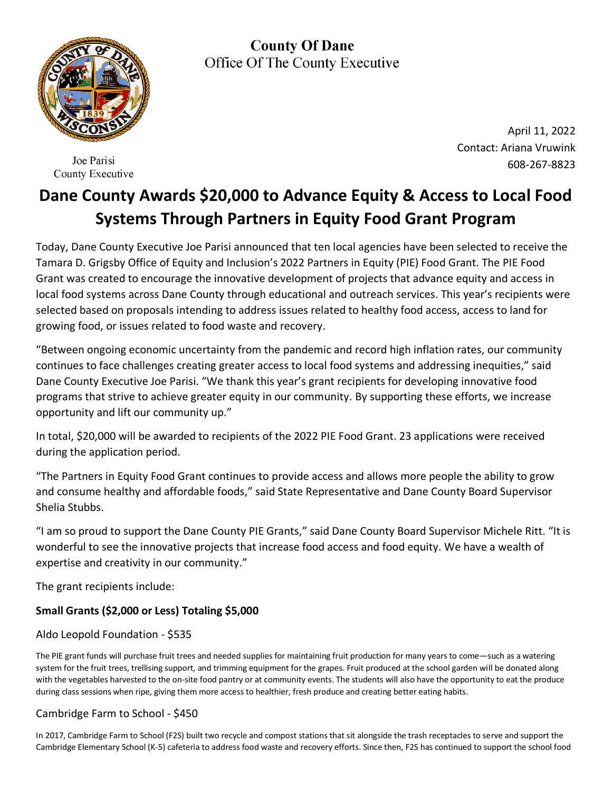

Joe Parisi County Executive

**County Of Dane** Office Of The County Executive

> April 11, 2022 Contact: Ariana Vruwink 608-267-8823

# **Dane County Awards \$20,000 to Advance Equity & Access to Local Food Systems Through Partners in Equity Food Grant Program**

Today, Dane County Executive Joe Parisi announced that ten local agencies have been selected to receive the Tamara D. Grigsby Office of Equity and Inclusion's 2022 Partners in Equity (PIE) Food Grant. The PIE Food Grant was created to encourage the innovative development of projects that advance equity and access in local food systems across Dane County through educational and outreach services. This year's recipients were selected based on proposals intending to address issues related to healthy food access, access to land for growing food, or issues related to food waste and recovery.

"Between ongoing economic uncertainty from the pandemic and record high inflation rates, our community continues to face challenges creating greater access to local food systems and addressing inequities," said Dane County Executive Joe Parisi. "We thank this year's grant recipients for developing innovative food programs that strive to achieve greater equity in our community. By supporting these efforts, we increase opportunity and lift our community up."

In total, \$20,000 will be awarded to recipients of the 2022 PIE Food Grant. 23 applications were received during the application period.

"The Partners in Equity Food Grant continues to provide access and allows more people the ability to grow and consume healthy and affordable foods," said State Representative and Dane County Board Supervisor Shelia Stubbs.

"I am so proud to support the Dane County PIE Grants," said Dane County Board Supervisor Michele Ritt. "It is wonderful to see the innovative projects that increase food access and food equity. We have a wealth of expertise and creativity in our community."

The grant recipients include:

# **Small Grants (\$2,000 or Less) Totaling \$5,000**

# Aldo Leopold Foundation - \$535

The PIE grant funds will purchase fruit trees and needed supplies for maintaining fruit production for many years to come—such as a watering system for the fruit trees, trellising support, and trimming equipment for the grapes. Fruit produced at the school garden will be donated along with the vegetables harvested to the on-site food pantry or at community events. The students will also have the opportunity to eat the produce during class sessions when ripe, giving them more access to healthier, fresh produce and creating better eating habits.

# Cambridge Farm to School - \$450

In 2017, Cambridge Farm to School (F2S) built two recycle and compost stations that sit alongside the trash receptacles to serve and support the Cambridge Elementary School (K-5) cafeteria to address food waste and recovery efforts. Since then, F2S has continued to support the school food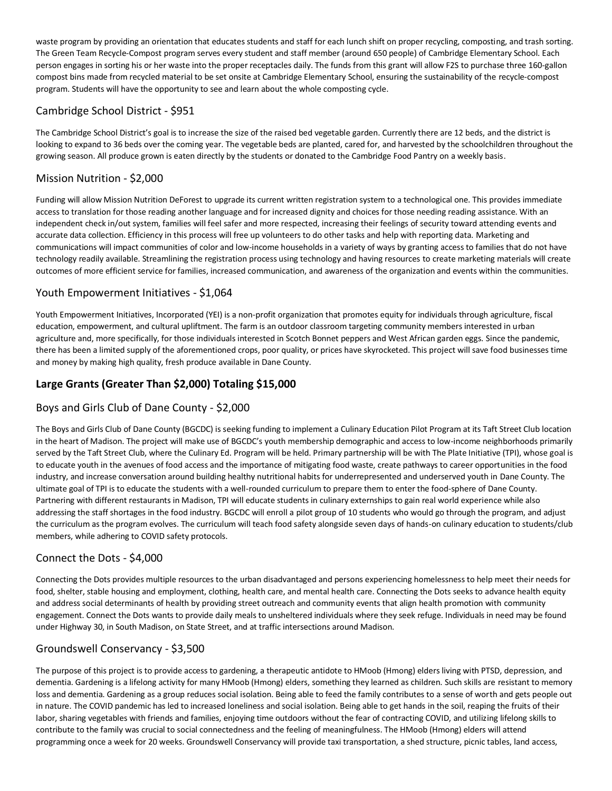waste program by providing an orientation that educates students and staff for each lunch shift on proper recycling, composting, and trash sorting. The Green Team Recycle-Compost program serves every student and staff member (around 650 people) of Cambridge Elementary School. Each person engages in sorting his or her waste into the proper receptacles daily. The funds from this grant will allow F2S to purchase three 160-gallon compost bins made from recycled material to be set onsite at Cambridge Elementary School, ensuring the sustainability of the recycle-compost program. Students will have the opportunity to see and learn about the whole composting cycle.

#### Cambridge School District - \$951

The Cambridge School District's goal is to increase the size of the raised bed vegetable garden. Currently there are 12 beds, and the district is looking to expand to 36 beds over the coming year. The vegetable beds are planted, cared for, and harvested by the schoolchildren throughout the growing season. All produce grown is eaten directly by the students or donated to the Cambridge Food Pantry on a weekly basis.

## Mission Nutrition - \$2,000

Funding will allow Mission Nutrition DeForest to upgrade its current written registration system to a technological one. This provides immediate access to translation for those reading another language and for increased dignity and choices for those needing reading assistance. With an independent check in/out system, families will feel safer and more respected, increasing their feelings of security toward attending events and accurate data collection. Efficiency in this process will free up volunteers to do other tasks and help with reporting data. Marketing and communications will impact communities of color and low-income households in a variety of ways by granting access to families that do not have technology readily available. Streamlining the registration process using technology and having resources to create marketing materials will create outcomes of more efficient service for families, increased communication, and awareness of the organization and events within the communities.

#### Youth Empowerment Initiatives - \$1,064

Youth Empowerment Initiatives, Incorporated (YEI) is a non-profit organization that promotes equity for individuals through agriculture, fiscal education, empowerment, and cultural upliftment. The farm is an outdoor classroom targeting community members interested in urban agriculture and, more specifically, for those individuals interested in Scotch Bonnet peppers and West African garden eggs. Since the pandemic, there has been a limited supply of the aforementioned crops, poor quality, or prices have skyrocketed. This project will save food businesses time and money by making high quality, fresh produce available in Dane County.

## **Large Grants (Greater Than \$2,000) Totaling \$15,000**

## Boys and Girls Club of Dane County - \$2,000

The Boys and Girls Club of Dane County (BGCDC) is seeking funding to implement a Culinary Education Pilot Program at its Taft Street Club location in the heart of Madison. The project will make use of BGCDC's youth membership demographic and access to low-income neighborhoods primarily served by the Taft Street Club, where the Culinary Ed. Program will be held. Primary partnership will be with The Plate Initiative (TPI), whose goal is to educate youth in the avenues of food access and the importance of mitigating food waste, create pathways to career opportunities in the food industry, and increase conversation around building healthy nutritional habits for underrepresented and underserved youth in Dane County. The ultimate goal of TPI is to educate the students with a well-rounded curriculum to prepare them to enter the food-sphere of Dane County. Partnering with different restaurants in Madison, TPI will educate students in culinary externships to gain real world experience while also addressing the staff shortages in the food industry. BGCDC will enroll a pilot group of 10 students who would go through the program, and adjust the curriculum as the program evolves. The curriculum will teach food safety alongside seven days of hands-on culinary education to students/club members, while adhering to COVID safety protocols.

#### Connect the Dots - \$4,000

Connecting the Dots provides multiple resources to the urban disadvantaged and persons experiencing homelessness to help meet their needs for food, shelter, stable housing and employment, clothing, health care, and mental health care. Connecting the Dots seeks to advance health equity and address social determinants of health by providing street outreach and community events that align health promotion with community engagement. Connect the Dots wants to provide daily meals to unsheltered individuals where they seek refuge. Individuals in need may be found under Highway 30, in South Madison, on State Street, and at traffic intersections around Madison.

#### Groundswell Conservancy - \$3,500

The purpose of this project is to provide access to gardening, a therapeutic antidote to HMoob (Hmong) elders living with PTSD, depression, and dementia. Gardening is a lifelong activity for many HMoob (Hmong) elders, something they learned as children. Such skills are resistant to memory loss and dementia. Gardening as a group reduces social isolation. Being able to feed the family contributes to a sense of worth and gets people out in nature. The COVID pandemic has led to increased loneliness and social isolation. Being able to get hands in the soil, reaping the fruits of their labor, sharing vegetables with friends and families, enjoying time outdoors without the fear of contracting COVID, and utilizing lifelong skills to contribute to the family was crucial to social connectedness and the feeling of meaningfulness. The HMoob (Hmong) elders will attend programming once a week for 20 weeks. Groundswell Conservancy will provide taxi transportation, a shed structure, picnic tables, land access,